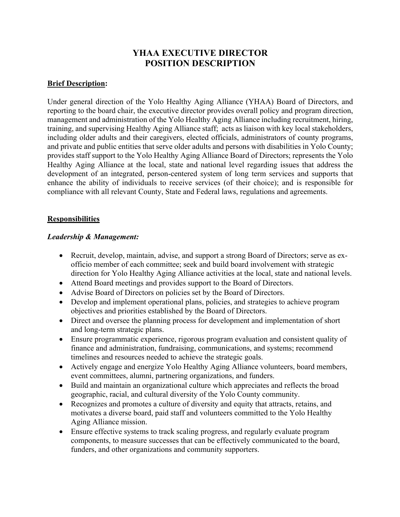# **YHAA EXECUTIVE DIRECTOR POSITION DESCRIPTION**

### **Brief Description:**

Under general direction of the Yolo Healthy Aging Alliance (YHAA) Board of Directors, and reporting to the board chair, the executive director provides overall policy and program direction, management and administration of the Yolo Healthy Aging Alliance including recruitment, hiring, training, and supervising Healthy Aging Alliance staff; acts as liaison with key local stakeholders, including older adults and their caregivers, elected officials, administrators of county programs, and private and public entities that serve older adults and persons with disabilities in Yolo County; provides staff support to the Yolo Healthy Aging Alliance Board of Directors; represents the Yolo Healthy Aging Alliance at the local, state and national level regarding issues that address the development of an integrated, person-centered system of long term services and supports that enhance the ability of individuals to receive services (of their choice); and is responsible for compliance with all relevant County, State and Federal laws, regulations and agreements.

#### **Responsibilities**

#### *Leadership & Management:*

- Recruit, develop, maintain, advise, and support a strong Board of Directors; serve as exofficio member of each committee; seek and build board involvement with strategic direction for Yolo Healthy Aging Alliance activities at the local, state and national levels.
- Attend Board meetings and provides support to the Board of Directors.
- Advise Board of Directors on policies set by the Board of Directors.
- Develop and implement operational plans, policies, and strategies to achieve program objectives and priorities established by the Board of Directors.
- Direct and oversee the planning process for development and implementation of short and long-term strategic plans.
- Ensure programmatic experience, rigorous program evaluation and consistent quality of finance and administration, fundraising, communications, and systems; recommend timelines and resources needed to achieve the strategic goals.
- Actively engage and energize Yolo Healthy Aging Alliance volunteers, board members, event committees, alumni, partnering organizations, and funders.
- Build and maintain an organizational culture which appreciates and reflects the broad geographic, racial, and cultural diversity of the Yolo County community.
- Recognizes and promotes a culture of diversity and equity that attracts, retains, and motivates a diverse board, paid staff and volunteers committed to the Yolo Healthy Aging Alliance mission.
- Ensure effective systems to track scaling progress, and regularly evaluate program components, to measure successes that can be effectively communicated to the board, funders, and other organizations and community supporters.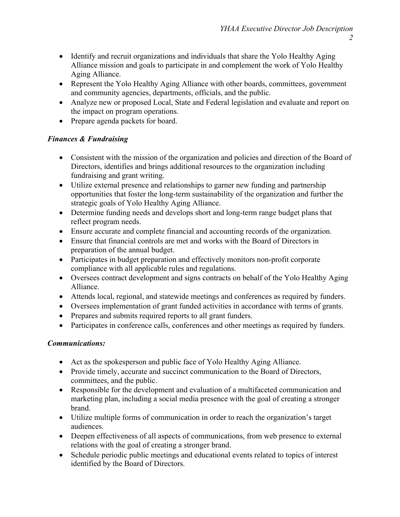- Identify and recruit organizations and individuals that share the Yolo Healthy Aging Alliance mission and goals to participate in and complement the work of Yolo Healthy Aging Alliance.
- Represent the Yolo Healthy Aging Alliance with other boards, committees, government and community agencies, departments, officials, and the public.
- Analyze new or proposed Local, State and Federal legislation and evaluate and report on the impact on program operations.
- Prepare agenda packets for board.

# *Finances & Fundraising*

- Consistent with the mission of the organization and policies and direction of the Board of Directors, identifies and brings additional resources to the organization including fundraising and grant writing.
- Utilize external presence and relationships to garner new funding and partnership opportunities that foster the long-term sustainability of the organization and further the strategic goals of Yolo Healthy Aging Alliance.
- Determine funding needs and develops short and long-term range budget plans that reflect program needs.
- Ensure accurate and complete financial and accounting records of the organization.
- Ensure that financial controls are met and works with the Board of Directors in preparation of the annual budget.
- Participates in budget preparation and effectively monitors non-profit corporate compliance with all applicable rules and regulations.
- Oversees contract development and signs contracts on behalf of the Yolo Healthy Aging Alliance.
- Attends local, regional, and statewide meetings and conferences as required by funders.
- Oversees implementation of grant funded activities in accordance with terms of grants.
- Prepares and submits required reports to all grant funders.
- Participates in conference calls, conferences and other meetings as required by funders.

# *Communications:*

- Act as the spokesperson and public face of Yolo Healthy Aging Alliance.
- Provide timely, accurate and succinct communication to the Board of Directors, committees, and the public.
- Responsible for the development and evaluation of a multifaceted communication and marketing plan, including a social media presence with the goal of creating a stronger brand.
- Utilize multiple forms of communication in order to reach the organization's target audiences.
- Deepen effectiveness of all aspects of communications, from web presence to external relations with the goal of creating a stronger brand.
- Schedule periodic public meetings and educational events related to topics of interest identified by the Board of Directors.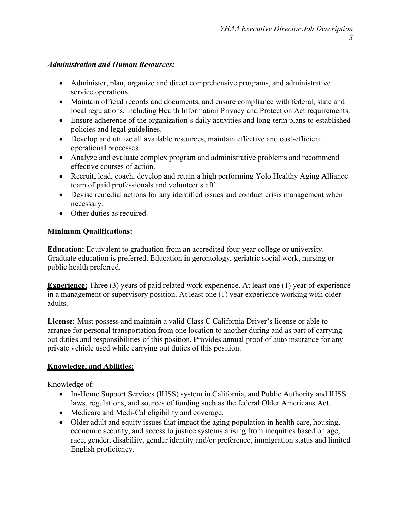### *Administration and Human Resources:*

- Administer, plan, organize and direct comprehensive programs, and administrative service operations.
- Maintain official records and documents, and ensure compliance with federal, state and local regulations, including Health Information Privacy and Protection Act requirements.
- Ensure adherence of the organization's daily activities and long-term plans to established policies and legal guidelines.
- Develop and utilize all available resources, maintain effective and cost-efficient operational processes.
- Analyze and evaluate complex program and administrative problems and recommend effective courses of action.
- Recruit, lead, coach, develop and retain a high performing Yolo Healthy Aging Alliance team of paid professionals and volunteer staff.
- Devise remedial actions for any identified issues and conduct crisis management when necessary.
- Other duties as required.

# **Minimum Qualifications:**

**Education:** Equivalent to graduation from an accredited four-year college or university. Graduate education is preferred. Education in gerontology, geriatric social work, nursing or public health preferred.

**Experience:** Three (3) years of paid related work experience. At least one (1) year of experience in a management or supervisory position. At least one (1) year experience working with older adults.

**License:** Must possess and maintain a valid Class C California Driver's license or able to arrange for personal transportation from one location to another during and as part of carrying out duties and responsibilities of this position. Provides annual proof of auto insurance for any private vehicle used while carrying out duties of this position.

# **Knowledge, and Abilities:**

Knowledge of:

- In-Home Support Services (IHSS) system in California, and Public Authority and IHSS laws, regulations, and sources of funding such as the federal Older Americans Act.
- Medicare and Medi-Cal eligibility and coverage.
- Older adult and equity issues that impact the aging population in health care, housing, economic security, and access to justice systems arising from inequities based on age, race, gender, disability, gender identity and/or preference, immigration status and limited English proficiency.